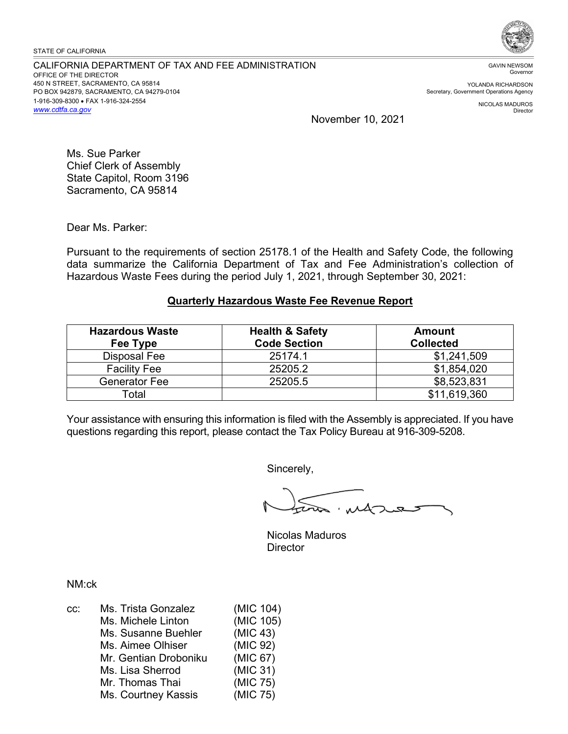CALIFORNIA DEPARTMENT OF TAX AND FEE ADMINISTRATION OFFICE OF THE DIRECTOR 450 N STREET, SACRAMENTO, CA 95814 PO BOX 942879, SACRAMENTO, CA 94279-0104 1-916-309-8300 • FAX 1-916-324-2554 *<www.cdtfa.ca.gov>*



GAVIN NEWSOM Governor

YOLANDA RICHARDSON Secretary, Government Operations Agency

> NICOLAS MADUROS Director

November 10, 2021

Ms. Sue Parker Chief Clerk of Assembly State Capitol, Room 3196 Sacramento, CA 95814

Dear Ms. Parker:

Pursuant to the requirements of section 25178.1 of the Health and Safety Code, the following data summarize the California Department of Tax and Fee Administration's collection of Hazardous Waste Fees during the period July 1, 2021, through September 30, 2021:

## **Quarterly Hazardous Waste Fee Revenue Report**

| <b>Hazardous Waste</b><br>Fee Type | <b>Health &amp; Safety</b><br><b>Code Section</b> | <b>Amount</b><br><b>Collected</b> |
|------------------------------------|---------------------------------------------------|-----------------------------------|
| Disposal Fee                       | 25174.1                                           | \$1,241,509                       |
| <b>Facility Fee</b>                | 25205.2                                           | \$1,854,020                       |
| Generator Fee                      | 25205.5                                           | \$8,523,831                       |
| Total                              |                                                   | \$11,619,360                      |

Your assistance with ensuring this information is filed with the Assembly is appreciated. If you have questions regarding this report, please contact the Tax Policy Bureau at 916-309-5208.

Sincerely,

Nicolas Maduros **Director** 

NM:ck

| Ms. Trista Gonzalez   | (MIC 104) |
|-----------------------|-----------|
| Ms. Michele Linton    | (MIC 105) |
| Ms. Susanne Buehler   | (MIC 43)  |
| Ms. Aimee Olhiser     | (MIC 92)  |
| Mr. Gentian Droboniku | (MIC 67)  |
| Ms. Lisa Sherrod      | (MIC 31)  |
| Mr. Thomas Thai       | (MIC 75)  |
| Ms. Courtney Kassis   | (MIC 75)  |
|                       |           |